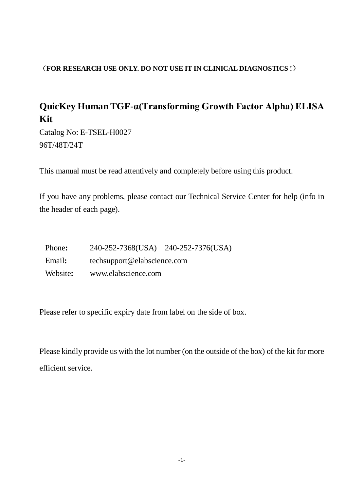#### (**FOR RESEARCH USE ONLY. DO NOT USE IT IN CLINICAL DIAGNOSTICS !**)

# **QuicKey Human TGF-α(Transforming Growth Factor Alpha) ELISA Kit**

Catalog No: E-TSEL-H0027 96T/48T/24T

This manual must be read attentively and completely before using this product.

If you have any problems, please contact our Technical Service Center for help (info in the header of each page).

| Phone:   | 240-252-7368(USA)           | 240-252-7376(USA) |
|----------|-----------------------------|-------------------|
| Email:   | techsupport@elabscience.com |                   |
| Website: | www.elabscience.com         |                   |

Please refer to specific expiry date from label on the side of box.

Please kindly provide us with the lot number (on the outside of the box) of the kit for more efficient service.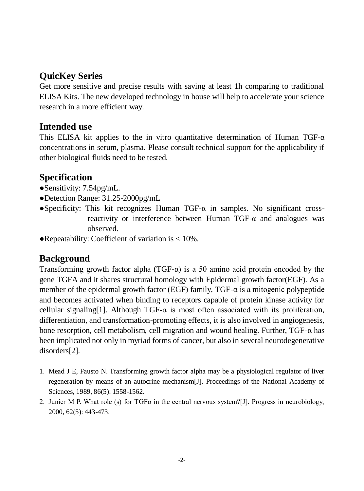### **QuicKey Series**

Get more sensitive and precise results with saving at least 1h comparing to traditional ELISA Kits. The new developed technology in house will help to accelerate your science research in a more efficient way.

#### **Intended use**

This ELISA kit applies to the in vitro quantitative determination of Human TGF- $\alpha$ concentrations in serum, plasma. Please consult technical support for the applicability if other biological fluids need to be tested.

# **Specification**

- ●Sensitivity: 7.54pg/mL.
- ●Detection Range: 31.25-2000pg/mL
- ●Specificity: This kit recognizes Human TGF-α in samples. No significant crossreactivity or interference between Human TGF-α and analogues was observed.
- $\bullet$ Repeatability: Coefficient of variation is  $< 10\%$ .

#### **Background**

Transforming growth factor alpha (TGF- $\alpha$ ) is a 50 amino acid protein encoded by the gene TGFA and it shares structural homology with Epidermal growth factor(EGF). As a member of the epidermal growth factor (EGF) family, TGF-α is a mitogenic polypeptide and becomes activated when binding to receptors capable of protein kinase activity for cellular signaling[1]. Although TGF- $\alpha$  is most often associated with its proliferation, differentiation, and transformation-promoting effects, it is also involved in angiogenesis, bone resorption, cell metabolism, cell migration and wound healing. Further, TGF-α has been implicated not only in myriad forms of cancer, but also in several neurodegenerative disorders[2].

- 1. Mead J E, Fausto N. Transforming growth factor alpha may be a physiological regulator of liver regeneration by means of an autocrine mechanism[J]. Proceedings of the National Academy of Sciences, 1989, 86(5): 1558-1562.
- 2. Junier M P. What role (s) for  $TGF\alpha$  in the central nervous system?[J]. Progress in neurobiology, 2000, 62(5): 443-473.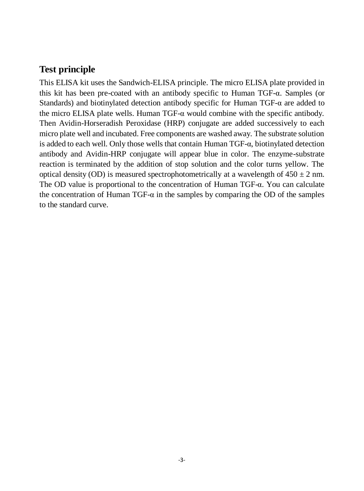#### **Test principle**

This ELISA kit uses the Sandwich-ELISA principle. The micro ELISA plate provided in this kit has been pre-coated with an antibody specific to Human TGF-α. Samples (or Standards) and biotinylated detection antibody specific for Human TGF-α are added to the micro ELISA plate wells. Human TGF- $\alpha$  would combine with the specific antibody. Then Avidin-Horseradish Peroxidase (HRP) conjugate are added successively to each micro plate well and incubated. Free components are washed away. The substrate solution is added to each well. Only those wells that contain Human TGF-α, biotinylated detection antibody and Avidin-HRP conjugate will appear blue in color. The enzyme-substrate reaction is terminated by the addition of stop solution and the color turns yellow. The optical density (OD) is measured spectrophotometrically at a wavelength of  $450 \pm 2$  nm. The OD value is proportional to the concentration of Human TGF-α. You can calculate the concentration of Human TGF- $\alpha$  in the samples by comparing the OD of the samples to the standard curve.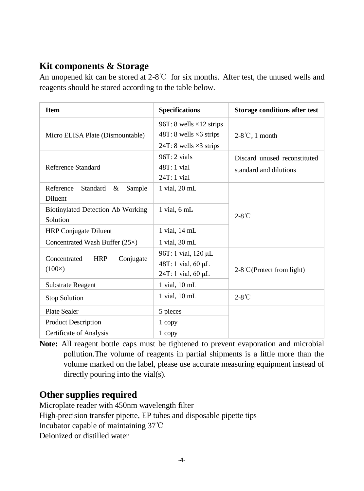# **Kit components & Storage**

An unopened kit can be stored at 2-8℃ for six months. After test, the unused wells and reagents should be stored according to the table below.

| <b>Item</b>                                              | <b>Specifications</b>                                                                               | Storage conditions after test                          |  |
|----------------------------------------------------------|-----------------------------------------------------------------------------------------------------|--------------------------------------------------------|--|
| Micro ELISA Plate (Dismountable)                         | 96T: 8 wells $\times$ 12 strips<br>48T: 8 wells $\times$ 6 strips<br>24T: 8 wells $\times$ 3 strips | $2-8^{\circ}$ C, 1 month                               |  |
| Reference Standard                                       | $96T:2$ vials<br>$48T:1$ vial<br>$24T:1$ vial                                                       | Discard unused reconstituted<br>standard and dilutions |  |
| Reference<br>Standard<br>&<br>Sample<br><b>Diluent</b>   | 1 vial, 20 mL                                                                                       |                                                        |  |
| Biotinylated Detection Ab Working<br>Solution            | 1 vial, 6 mL                                                                                        | $2-8^{\circ}$ C                                        |  |
| <b>HRP</b> Conjugate Diluent                             | 1 vial, 14 mL                                                                                       |                                                        |  |
| Concentrated Wash Buffer $(25\times)$                    | 1 vial, 30 mL                                                                                       |                                                        |  |
| Concentrated<br><b>HRP</b><br>Conjugate<br>$(100\times)$ | 96T: 1 vial, 120 µL<br>48T: 1 vial, 60 µL<br>24T: 1 vial, 60 µL                                     | $2-8$ °C (Protect from light)                          |  |
| <b>Substrate Reagent</b>                                 | 1 vial, 10 mL                                                                                       |                                                        |  |
| Stop Solution                                            | 1 vial, 10 mL                                                                                       | $2-8^{\circ}$ C                                        |  |
| Plate Sealer                                             | 5 pieces                                                                                            |                                                        |  |
| <b>Product Description</b>                               | 1 copy                                                                                              |                                                        |  |
| Certificate of Analysis                                  | 1 copy                                                                                              |                                                        |  |

**Note:** All reagent bottle caps must be tightened to prevent evaporation and microbial pollution.The volume of reagents in partial shipments is a little more than the volume marked on the label, please use accurate measuring equipment instead of directly pouring into the vial(s).

#### **Other supplies required**

Microplate reader with 450nm wavelength filter High-precision transfer pipette, EP tubes and disposable pipette tips Incubator capable of maintaining 37℃ Deionized or distilled water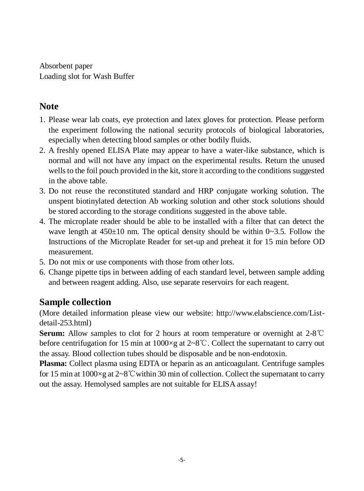Absorbent paper Loading slot for Wash Buffer

#### **Note**

- 1. Please wear lab coats, eye protection and latex gloves for protection. Please perform the experiment following the national security protocols of biological laboratories, especially when detecting blood samples or other bodily fluids.
- 2. A freshly opened ELISA Plate may appear to have a water-like substance, which is normal and will not have any impact on the experimental results. Return the unused wells to the foil pouch provided in the kit, store it according to the conditions suggested in the above table.
- 3. Do not reuse the reconstituted standard and HRP conjugate working solution. The unspent biotinylated detection Ab working solution and other stock solutions should be stored according to the storage conditions suggested in the above table.
- 4. The microplate reader should be able to be installed with a filter that can detect the wave length at  $450\pm10$  nm. The optical density should be within  $0\sim3.5$ . Follow the Instructions of the Microplate Reader for set-up and preheat it for 15 min before OD measurement.
- 5. Do not mix or use components with those from other lots.
- 6. Change pipette tips in between adding of each standard level, between sample adding and between reagent adding. Also, use separate reservoirs for each reagent.

# **Sample collection**

(More detailed information please view our website: http://www.elabscience.com/Listdetail-253.html)

**Serum:** Allow samples to clot for 2 hours at room temperature or overnight at 2-8℃ before centrifugation for 15 min at 1000×g at 2~8℃. Collect the supernatant to carry out the assay. Blood collection tubes should be disposable and be non-endotoxin.

**Plasma:** Collect plasma using EDTA or heparin as an anticoagulant. Centrifuge samples for 15 min at  $1000 \times g$  at  $2 \times 8$ °C within 30 min of collection. Collect the supernatant to carry out the assay. Hemolysed samples are not suitable for ELISA assay!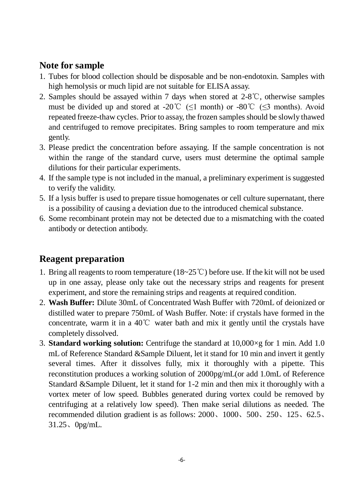#### **Note for sample**

- 1. Tubes for blood collection should be disposable and be non-endotoxin. Samples with high hemolysis or much lipid are not suitable for ELISA assay.
- 2. Samples should be assayed within 7 days when stored at 2-8℃, otherwise samples must be divided up and stored at -20°C ( $\leq 1$  month) or -80°C ( $\leq 3$  months). Avoid repeated freeze-thaw cycles. Prior to assay, the frozen samples should be slowly thawed and centrifuged to remove precipitates. Bring samples to room temperature and mix gently.
- 3. Please predict the concentration before assaying. If the sample concentration is not within the range of the standard curve, users must determine the optimal sample dilutions for their particular experiments.
- 4. If the sample type is not included in the manual, a preliminary experiment is suggested to verify the validity.
- 5. If a lysis buffer is used to prepare tissue homogenates or cell culture supernatant, there is a possibility of causing a deviation due to the introduced chemical substance.
- 6. Some recombinant protein may not be detected due to a mismatching with the coated antibody or detection antibody.

#### **Reagent preparation**

- 1. Bring all reagents to room temperature (18~25℃) before use. If the kit will not be used up in one assay, please only take out the necessary strips and reagents for present experiment, and store the remaining strips and reagents at required condition.
- 2. **Wash Buffer:** Dilute 30mL of Concentrated Wash Buffer with 720mL of deionized or distilled water to prepare 750mL of Wash Buffer. Note: if crystals have formed in the concentrate, warm it in a 40℃ water bath and mix it gently until the crystals have completely dissolved.
- 3. **Standard working solution:** Centrifuge the standard at 10,000×g for 1 min. Add 1.0 mL of Reference Standard &Sample Diluent, let it stand for 10 min and invert it gently several times. After it dissolves fully, mix it thoroughly with a pipette. This reconstitution produces a working solution of 2000pg/mL(or add 1.0mL of Reference Standard &Sample Diluent, let it stand for 1-2 min and then mix it thoroughly with a vortex meter of low speed. Bubbles generated during vortex could be removed by centrifuging at a relatively low speed). Then make serial dilutions as needed. The recommended dilution gradient is as follows: 2000、1000、500、250、125、62.5、 31.25、0pg/mL.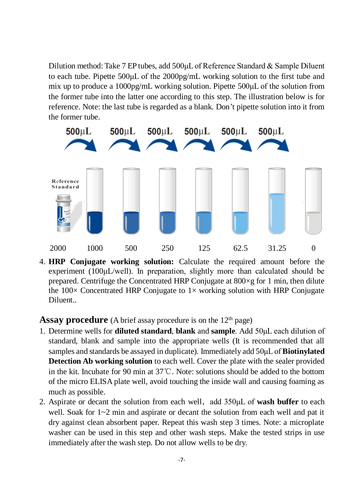Dilution method: Take 7 EP tubes, add 500μL of Reference Standard & Sample Diluent to each tube. Pipette 500μL of the 2000pg/mL working solution to the first tube and mix up to produce a 1000pg/mL working solution. Pipette 500μL of the solution from the former tube into the latter one according to this step. The illustration below is for reference. Note: the last tube is regarded as a blank. Don't pipette solution into it from the former tube.



4. **HRP Conjugate working solution:** Calculate the required amount before the experiment (100<sub>uL</sub>/well). In preparation, slightly more than calculated should be prepared. Centrifuge the Concentrated HRP Conjugate at  $800 \times g$  for 1 min, then dilute the  $100 \times$  Concentrated HRP Conjugate to  $1 \times$  working solution with HRP Conjugate Diluent..

Assay procedure (A brief assay procedure is on the 12<sup>th</sup> page)

- 1. Determine wells for **diluted standard**, **blank** and **sample**. Add 50μL each dilution of standard, blank and sample into the appropriate wells (It is recommended that all samples and standards be assayed in duplicate). Immediately add 50μL of **Biotinylated Detection Ab working solution** to each well. Cover the plate with the sealer provided in the kit. Incubate for 90 min at 37℃. Note: solutions should be added to the bottom of the micro ELISA plate well, avoid touching the inside wall and causing foaming as much as possible.
- 2. Aspirate or decant the solution from each well, add 350µL of **wash buffer** to each well. Soak for  $1~2$  min and aspirate or decant the solution from each well and pat it dry against clean absorbent paper. Repeat this wash step 3 times. Note: a microplate washer can be used in this step and other wash steps. Make the tested strips in use immediately after the wash step. Do not allow wells to be dry.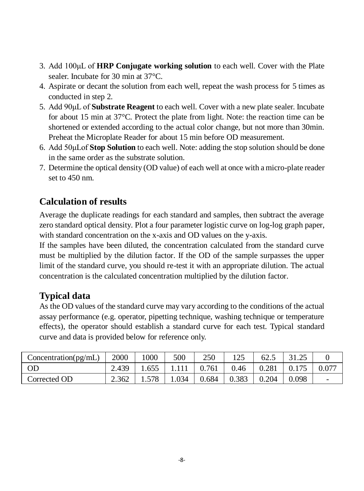- 3. Add 100μL of **HRP Conjugate working solution** to each well. Cover with the Plate sealer. Incubate for 30 min at 37 °C.
- 4. Aspirate or decant the solution from each well, repeat the wash process for 5 times as conducted in step 2.
- 5. Add 90μL of **Substrate Reagent** to each well. Cover with a new plate sealer. Incubate for about 15 min at 37°C. Protect the plate from light. Note: the reaction time can be shortened or extended according to the actual color change, but not more than 30min. Preheat the Microplate Reader for about 15 min before OD measurement.
- 6. Add 50μLof **Stop Solution** to each well. Note: adding the stop solution should be done in the same order as the substrate solution.
- 7. Determine the optical density (OD value) of each well at once with a micro-plate reader set to 450 nm.

# **Calculation of results**

Average the duplicate readings for each standard and samples, then subtract the average zero standard optical density. Plot a four parameter logistic curve on log-log graph paper, with standard concentration on the x-axis and OD values on the y-axis.

If the samples have been diluted, the concentration calculated from the standard curve must be multiplied by the dilution factor. If the OD of the sample surpasses the upper limit of the standard curve, you should re-test it with an appropriate dilution. The actual concentration is the calculated concentration multiplied by the dilution factor.

# **Typical data**

As the OD values of the standard curve may vary according to the conditions of the actual assay performance (e.g. operator, pipetting technique, washing technique or temperature effects), the operator should establish a standard curve for each test. Typical standard curve and data is provided below for reference only.

| Concentration(pg/mL) | 2000  | 1000  | 500   | 250   | 125   | 62.5  | 31.25 |                          |
|----------------------|-------|-------|-------|-------|-------|-------|-------|--------------------------|
| <b>OD</b>            | 2.439 | 1.655 |       | 0.761 | 0.46  | 0.281 |       | 0.077                    |
| Corrected OD         | 2.362 | 1.578 | 1.034 | 0.684 | 0.383 | 0.204 | 0.098 | $\overline{\phantom{0}}$ |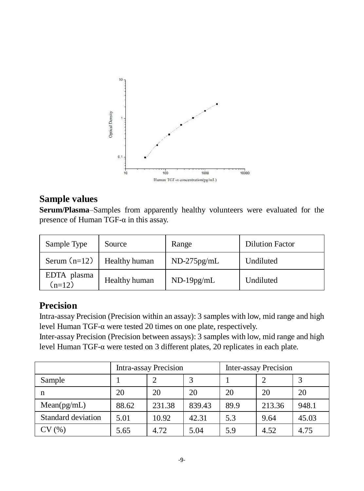

#### **Sample values**

**Serum/Plasma**–Samples from apparently healthy volunteers were evaluated for the presence of Human TGF-α in this assay.

| Sample Type             | Source        | Range         | <b>Dilution Factor</b> |
|-------------------------|---------------|---------------|------------------------|
| Serum $(n=12)$          | Healthy human | $ND-275pg/mL$ | Undiluted              |
| EDTA plasma<br>$(n=12)$ | Healthy human | $ND-19pg/mL$  | Undiluted              |

# **Precision**

Intra-assay Precision (Precision within an assay): 3 samples with low, mid range and high level Human TGF-α were tested 20 times on one plate, respectively.

Inter-assay Precision (Precision between assays): 3 samples with low, mid range and high level Human TGF-α were tested on 3 different plates, 20 replicates in each plate.

|                    | Intra-assay Precision |        |        | <b>Inter-assay Precision</b> |        |       |
|--------------------|-----------------------|--------|--------|------------------------------|--------|-------|
| Sample             |                       | ↑      |        |                              | ∍      |       |
| n                  | 20                    | 20     | 20     | 20                           | 20     | 20    |
| Mean(pg/mL)        | 88.62                 | 231.38 | 839.43 | 89.9                         | 213.36 | 948.1 |
| Standard deviation | 5.01                  | 10.92  | 42.31  | 5.3                          | 9.64   | 45.03 |
| CV(%)              | 5.65                  | 4.72   | 5.04   | 5.9                          | 4.52   | 4.75  |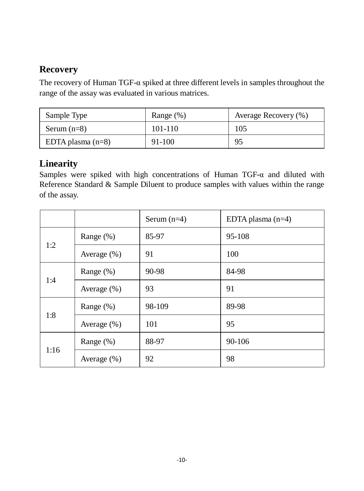# **Recovery**

The recovery of Human TGF-α spiked at three different levels in samples throughout the range of the assay was evaluated in various matrices.

| Sample Type         | Range $(\%)$ | Average Recovery (%) |
|---------------------|--------------|----------------------|
| Serum $(n=8)$       | 101-110      | 105                  |
| EDTA plasma $(n=8)$ | 91-100       | 95                   |

# **Linearity**

Samples were spiked with high concentrations of Human TGF-α and diluted with Reference Standard & Sample Diluent to produce samples with values within the range of the assay.

|      |                 | Serum $(n=4)$ | EDTA plasma $(n=4)$ |
|------|-----------------|---------------|---------------------|
| 1:2  | Range (%)       | 85-97         | 95-108              |
|      | Average $(\%)$  | 91            | 100                 |
| 1:4  | Range $(\%)$    | 90-98         | 84-98               |
|      | Average $(\% )$ | 93            | 91                  |
| 1:8  | Range (%)       | 98-109        | 89-98               |
|      | Average $(\% )$ | 101           | 95                  |
| 1:16 | Range (%)       | 88-97         | 90-106              |
|      | Average $(\% )$ | 92            | 98                  |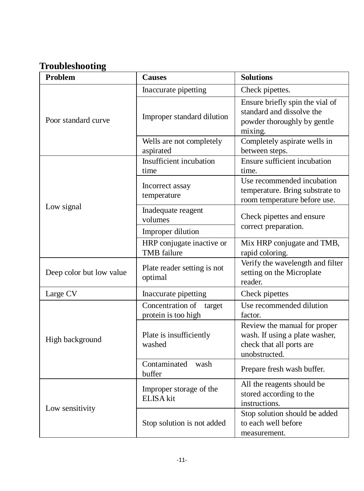# **Troubleshooting**

| <b>Problem</b>           | <b>Causes</b>                                   | <b>Solutions</b>                                                                                            |  |
|--------------------------|-------------------------------------------------|-------------------------------------------------------------------------------------------------------------|--|
|                          | Inaccurate pipetting                            | Check pipettes.                                                                                             |  |
| Poor standard curve      | Improper standard dilution                      | Ensure briefly spin the vial of<br>standard and dissolve the<br>powder thoroughly by gentle<br>mixing.      |  |
|                          | Wells are not completely<br>aspirated           | Completely aspirate wells in<br>between steps.                                                              |  |
|                          | Insufficient incubation<br>time                 | Ensure sufficient incubation<br>time.                                                                       |  |
|                          | Incorrect assay<br>temperature                  | Use recommended incubation<br>temperature. Bring substrate to<br>room temperature before use.               |  |
| Low signal               | Inadequate reagent<br>volumes                   | Check pipettes and ensure                                                                                   |  |
|                          | Improper dilution                               | correct preparation.                                                                                        |  |
|                          | HRP conjugate inactive or<br><b>TMB</b> failure | Mix HRP conjugate and TMB,<br>rapid coloring.                                                               |  |
| Deep color but low value | Plate reader setting is not<br>optimal          | Verify the wavelength and filter<br>setting on the Microplate<br>reader.                                    |  |
| Large CV                 | Inaccurate pipetting                            | Check pipettes                                                                                              |  |
|                          | Concentration of target<br>protein is too high  | Use recommended dilution<br>factor.                                                                         |  |
| High background          | Plate is insufficiently<br>washed               | Review the manual for proper<br>wash. If using a plate washer,<br>check that all ports are<br>unobstructed. |  |
|                          | Contaminated<br>wash<br>buffer                  | Prepare fresh wash buffer.                                                                                  |  |
| Low sensitivity          | Improper storage of the<br>ELISA kit            | All the reagents should be<br>stored according to the<br>instructions.                                      |  |
|                          | Stop solution is not added                      | Stop solution should be added<br>to each well before<br>measurement.                                        |  |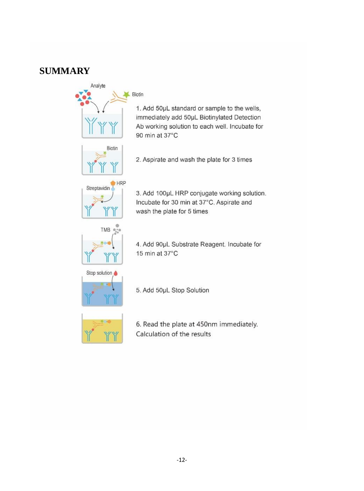#### **SUMMARY**





4. Add 90pL Substrate Reagent. Incubate for 15 min at  $37^{\circ}$ C



5. Add 50µL Stop Solution



6. Read the plate at 450nm immediately. Calculation of the results